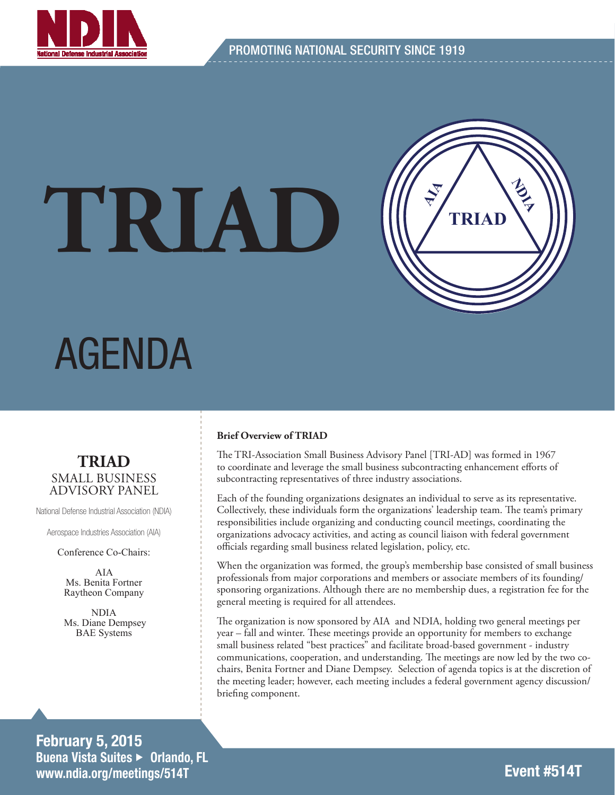

# **TRIAD**



## AGENDA

#### **TRIAD** SMALL BUSINESS ADVISORY PANEL

National Defense Industrial Association (NDIA)

Aerospace Industries Association (AIA)

Conference Co-Chairs:

AIA Ms. Benita Fortner Raytheon Company

NDIA Ms. Diane Dempsey BAE Systems

#### February 5, 2015 Buena Vista Suites ► Orlando, FL www.ndia.org/meetings/514T

#### **Brief Overview of TRIAD**

The TRI-Association Small Business Advisory Panel [TRI-AD] was formed in 1967 to coordinate and leverage the small business subcontracting enhancement efforts of subcontracting representatives of three industry associations.

Each of the founding organizations designates an individual to serve as its representative. Collectively, these individuals form the organizations' leadership team. The team's primary responsibilities include organizing and conducting council meetings, coordinating the organizations advocacy activities, and acting as council liaison with federal government officials regarding small business related legislation, policy, etc.

When the organization was formed, the group's membership base consisted of small business professionals from major corporations and members or associate members of its founding/ sponsoring organizations. Although there are no membership dues, a registration fee for the general meeting is required for all attendees.

The organization is now sponsored by AIA and NDIA, holding two general meetings per year – fall and winter. These meetings provide an opportunity for members to exchange small business related "best practices" and facilitate broad-based government - industry communications, cooperation, and understanding. The meetings are now led by the two cochairs, Benita Fortner and Diane Dempsey. Selection of agenda topics is at the discretion of the meeting leader; however, each meeting includes a federal government agency discussion/ briefing component.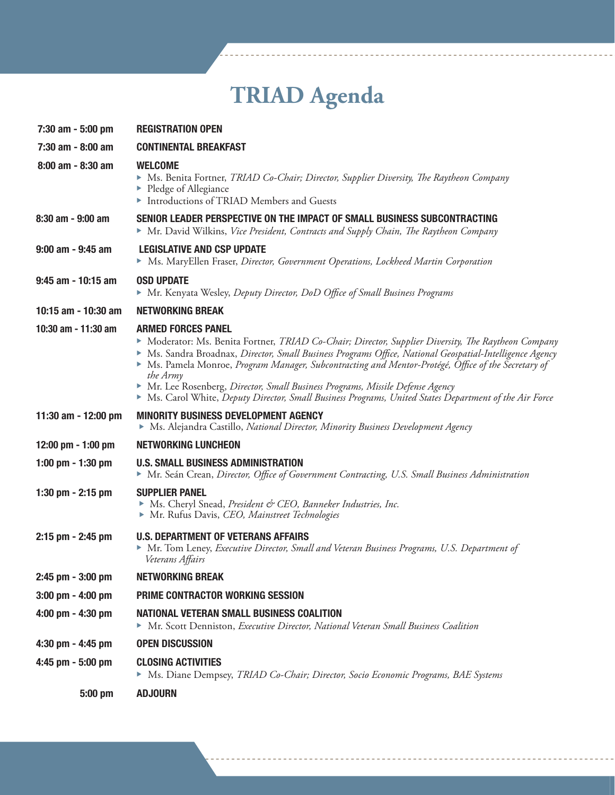### **TRIAD Agenda**

| 7:30 am - 5:00 pm     | <b>REGISTRATION OPEN</b>                                                                                                                                                                                                                                                                                                                                                                                                                                                                                                                          |
|-----------------------|---------------------------------------------------------------------------------------------------------------------------------------------------------------------------------------------------------------------------------------------------------------------------------------------------------------------------------------------------------------------------------------------------------------------------------------------------------------------------------------------------------------------------------------------------|
| 7:30 am - 8:00 am     | <b>CONTINENTAL BREAKFAST</b>                                                                                                                                                                                                                                                                                                                                                                                                                                                                                                                      |
| $8:00$ am - $8:30$ am | <b>WELCOME</b><br>Ms. Benita Fortner, TRIAD Co-Chair; Director, Supplier Diversity, The Raytheon Company<br>▶ Pledge of Allegiance<br>Introductions of TRIAD Members and Guests                                                                                                                                                                                                                                                                                                                                                                   |
| 8:30 am - 9:00 am     | SENIOR LEADER PERSPECTIVE ON THE IMPACT OF SMALL BUSINESS SUBCONTRACTING<br>• Mr. David Wilkins, Vice President, Contracts and Supply Chain, The Raytheon Company                                                                                                                                                                                                                                                                                                                                                                                 |
| $9:00$ am - $9:45$ am | <b>LEGISLATIVE AND CSP UPDATE</b><br>• Ms. MaryEllen Fraser, Director, Government Operations, Lockheed Martin Corporation                                                                                                                                                                                                                                                                                                                                                                                                                         |
| 9:45 am - 10:15 am    | <b>OSD UPDATE</b><br>Mr. Kenyata Wesley, Deputy Director, DoD Office of Small Business Programs                                                                                                                                                                                                                                                                                                                                                                                                                                                   |
| 10:15 am - 10:30 am   | <b>NETWORKING BREAK</b>                                                                                                                                                                                                                                                                                                                                                                                                                                                                                                                           |
| 10:30 am - 11:30 am   | <b>ARMED FORCES PANEL</b><br>Moderator: Ms. Benita Fortner, TRIAD Co-Chair; Director, Supplier Diversity, The Raytheon Company<br>Ms. Sandra Broadnax, Director, Small Business Programs Office, National Geospatial-Intelligence Agency<br>Ms. Pamela Monroe, Program Manager, Subcontracting and Mentor-Protégé, Office of the Secretary of<br>the Army<br>Mr. Lee Rosenberg, Director, Small Business Programs, Missile Defense Agency<br>Ms. Carol White, Deputy Director, Small Business Programs, United States Department of the Air Force |
| 11:30 am - 12:00 pm   | <b>MINORITY BUSINESS DEVELOPMENT AGENCY</b><br>• Ms. Alejandra Castillo, National Director, Minority Business Development Agency                                                                                                                                                                                                                                                                                                                                                                                                                  |
| 12:00 pm - 1:00 pm    | <b>NETWORKING LUNCHEON</b>                                                                                                                                                                                                                                                                                                                                                                                                                                                                                                                        |
| 1:00 pm - 1:30 pm     | <b>U.S. SMALL BUSINESS ADMINISTRATION</b><br>Mr. Seán Crean, Director, Office of Government Contracting, U.S. Small Business Administration                                                                                                                                                                                                                                                                                                                                                                                                       |
| 1:30 pm - 2:15 pm     | <b>SUPPLIER PANEL</b><br>Ms. Cheryl Snead, President & CEO, Banneker Industries, Inc.<br>Mr. Rufus Davis, CEO, Mainstreet Technologies                                                                                                                                                                                                                                                                                                                                                                                                            |
| 2:15 pm - 2:45 pm     | <b>U.S. DEPARTMENT OF VETERANS AFFAIRS</b><br>Mr. Tom Leney, Executive Director, Small and Veteran Business Programs, U.S. Department of<br>Veterans Affairs                                                                                                                                                                                                                                                                                                                                                                                      |
| 2:45 pm - 3:00 pm     | <b>NETWORKING BREAK</b>                                                                                                                                                                                                                                                                                                                                                                                                                                                                                                                           |
| $3:00$ pm $-$ 4:00 pm | PRIME CONTRACTOR WORKING SESSION                                                                                                                                                                                                                                                                                                                                                                                                                                                                                                                  |
| 4:00 pm - 4:30 pm     | <b>NATIONAL VETERAN SMALL BUSINESS COALITION</b><br>► Mr. Scott Denniston, Executive Director, National Veteran Small Business Coalition                                                                                                                                                                                                                                                                                                                                                                                                          |
| 4:30 pm - 4:45 pm     | <b>OPEN DISCUSSION</b>                                                                                                                                                                                                                                                                                                                                                                                                                                                                                                                            |
| 4:45 pm - 5:00 pm     | <b>CLOSING ACTIVITIES</b><br>Ms. Diane Dempsey, TRIAD Co-Chair; Director, Socio Economic Programs, BAE Systems                                                                                                                                                                                                                                                                                                                                                                                                                                    |
| 5:00 pm               | <b>ADJOURN</b>                                                                                                                                                                                                                                                                                                                                                                                                                                                                                                                                    |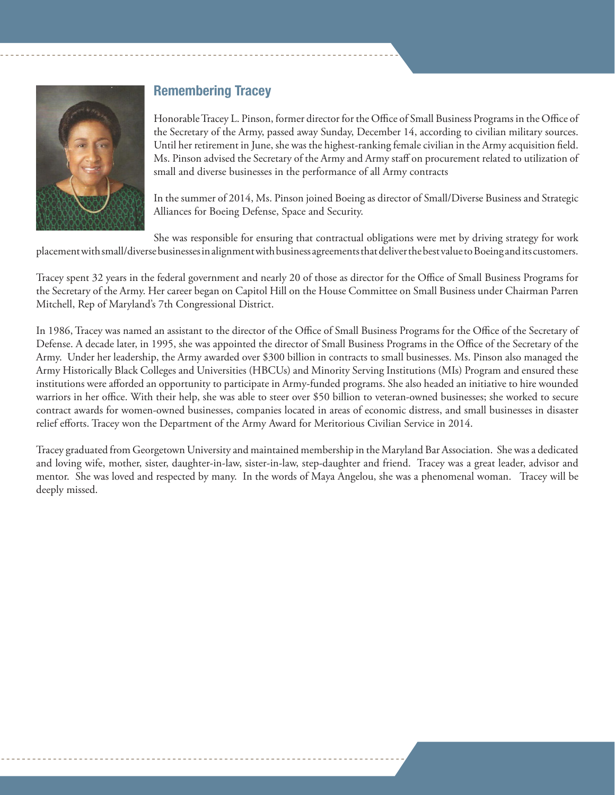

#### Remembering Tracey

Honorable Tracey L. Pinson, former director for the Office of Small Business Programs in the Office of the Secretary of the Army, passed away Sunday, December 14, according to civilian military sources. Until her retirement in June, she was the highest-ranking female civilian in the Army acquisition field. Ms. Pinson advised the Secretary of the Army and Army staff on procurement related to utilization of small and diverse businesses in the performance of all Army contracts

In the summer of 2014, Ms. Pinson joined Boeing as director of Small/Diverse Business and Strategic Alliances for Boeing Defense, Space and Security.

She was responsible for ensuring that contractual obligations were met by driving strategy for work placement with small/diverse businesses in alignment with business agreements that deliver the best value to Boeing and its customers.

Tracey spent 32 years in the federal government and nearly 20 of those as director for the Office of Small Business Programs for the Secretary of the Army. Her career began on Capitol Hill on the House Committee on Small Business under Chairman Parren Mitchell, Rep of Maryland's 7th Congressional District.

In 1986, Tracey was named an assistant to the director of the Office of Small Business Programs for the Office of the Secretary of Defense. A decade later, in 1995, she was appointed the director of Small Business Programs in the Office of the Secretary of the Army. Under her leadership, the Army awarded over \$300 billion in contracts to small businesses. Ms. Pinson also managed the Army Historically Black Colleges and Universities (HBCUs) and Minority Serving Institutions (MIs) Program and ensured these institutions were afforded an opportunity to participate in Army-funded programs. She also headed an initiative to hire wounded warriors in her office. With their help, she was able to steer over \$50 billion to veteran-owned businesses; she worked to secure contract awards for women-owned businesses, companies located in areas of economic distress, and small businesses in disaster relief efforts. Tracey won the Department of the Army Award for Meritorious Civilian Service in 2014.

Tracey graduated from Georgetown University and maintained membership in the Maryland Bar Association. She was a dedicated and loving wife, mother, sister, daughter-in-law, sister-in-law, step-daughter and friend. Tracey was a great leader, advisor and mentor. She was loved and respected by many. In the words of Maya Angelou, she was a phenomenal woman. Tracey will be deeply missed.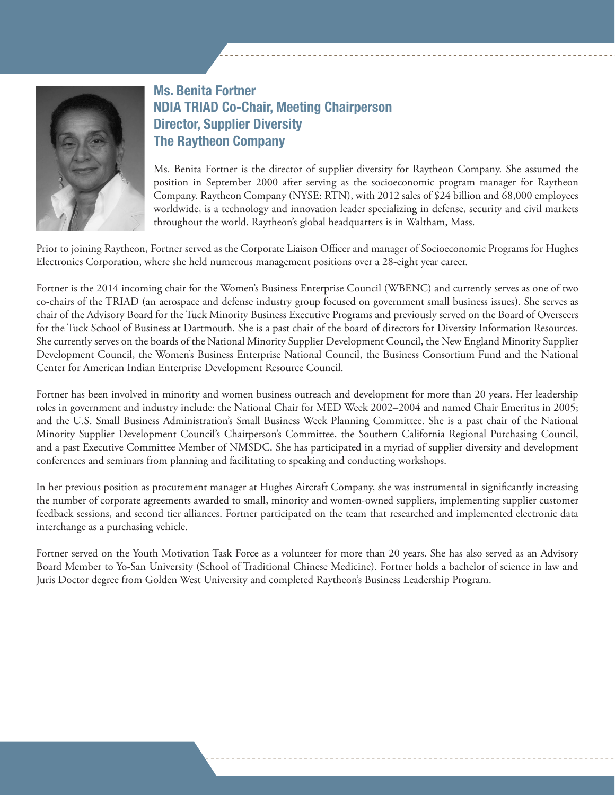

#### Ms. Benita Fortner NDIA TRIAD Co-Chair, Meeting Chairperson Director, Supplier Diversity The Raytheon Company

Ms. Benita Fortner is the director of supplier diversity for Raytheon Company. She assumed the position in September 2000 after serving as the socioeconomic program manager for Raytheon Company. Raytheon Company (NYSE: RTN), with 2012 sales of \$24 billion and 68,000 employees worldwide, is a technology and innovation leader specializing in defense, security and civil markets throughout the world. Raytheon's global headquarters is in Waltham, Mass.

Prior to joining Raytheon, Fortner served as the Corporate Liaison Officer and manager of Socioeconomic Programs for Hughes Electronics Corporation, where she held numerous management positions over a 28-eight year career.

Fortner is the 2014 incoming chair for the Women's Business Enterprise Council (WBENC) and currently serves as one of two co-chairs of the TRIAD (an aerospace and defense industry group focused on government small business issues). She serves as chair of the Advisory Board for the Tuck Minority Business Executive Programs and previously served on the Board of Overseers for the Tuck School of Business at Dartmouth. She is a past chair of the board of directors for Diversity Information Resources. She currently serves on the boards of the National Minority Supplier Development Council, the New England Minority Supplier Development Council, the Women's Business Enterprise National Council, the Business Consortium Fund and the National Center for American Indian Enterprise Development Resource Council.

Fortner has been involved in minority and women business outreach and development for more than 20 years. Her leadership roles in government and industry include: the National Chair for MED Week 2002–2004 and named Chair Emeritus in 2005; and the U.S. Small Business Administration's Small Business Week Planning Committee. She is a past chair of the National Minority Supplier Development Council's Chairperson's Committee, the Southern California Regional Purchasing Council, and a past Executive Committee Member of NMSDC. She has participated in a myriad of supplier diversity and development conferences and seminars from planning and facilitating to speaking and conducting workshops.

In her previous position as procurement manager at Hughes Aircraft Company, she was instrumental in significantly increasing the number of corporate agreements awarded to small, minority and women-owned suppliers, implementing supplier customer feedback sessions, and second tier alliances. Fortner participated on the team that researched and implemented electronic data interchange as a purchasing vehicle.

Fortner served on the Youth Motivation Task Force as a volunteer for more than 20 years. She has also served as an Advisory Board Member to Yo-San University (School of Traditional Chinese Medicine). Fortner holds a bachelor of science in law and Juris Doctor degree from Golden West University and completed Raytheon's Business Leadership Program.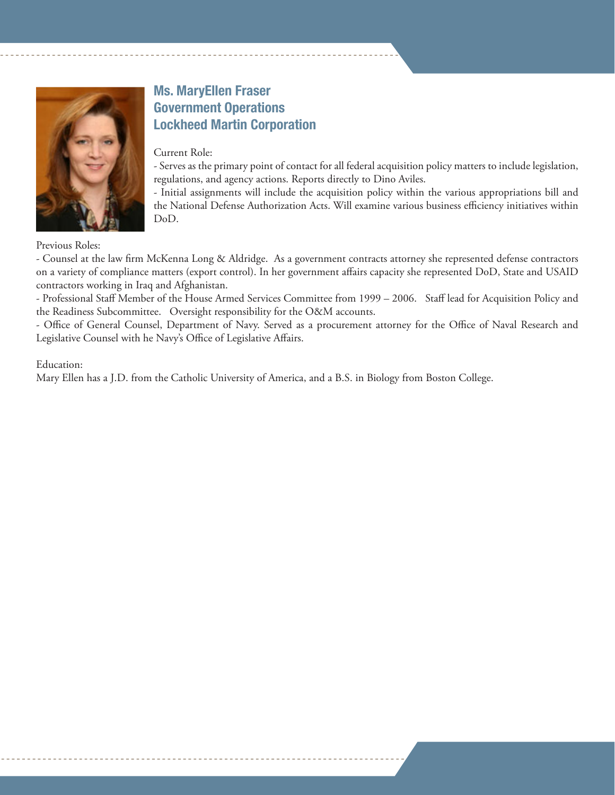

#### Ms. MaryEllen Fraser Government Operations Lockheed Martin Corporation

#### Current Role:

- Serves as the primary point of contact for all federal acquisition policy matters to include legislation, regulations, and agency actions. Reports directly to Dino Aviles.

- Initial assignments will include the acquisition policy within the various appropriations bill and the National Defense Authorization Acts. Will examine various business efficiency initiatives within DoD.

Previous Roles:

- Counsel at the law firm McKenna Long & Aldridge. As a government contracts attorney she represented defense contractors on a variety of compliance matters (export control). In her government affairs capacity she represented DoD, State and USAID contractors working in Iraq and Afghanistan.

- Professional Staff Member of the House Armed Services Committee from 1999 – 2006. Staff lead for Acquisition Policy and the Readiness Subcommittee. Oversight responsibility for the O&M accounts.

- Office of General Counsel, Department of Navy. Served as a procurement attorney for the Office of Naval Research and Legislative Counsel with he Navy's Office of Legislative Affairs.

#### Education:

Mary Ellen has a J.D. from the Catholic University of America, and a B.S. in Biology from Boston College.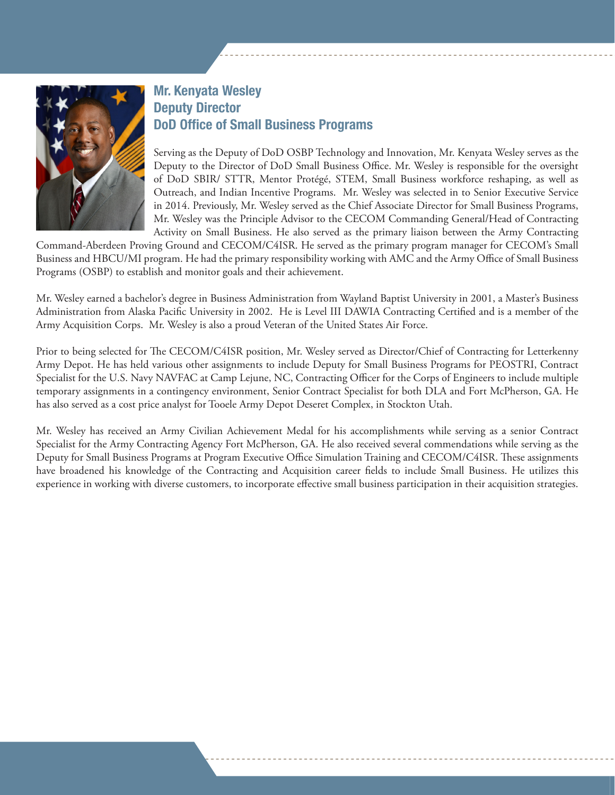

#### Mr. Kenyata Wesley Deputy Director DoD Office of Small Business Programs

Serving as the Deputy of DoD OSBP Technology and Innovation, Mr. Kenyata Wesley serves as the Deputy to the Director of DoD Small Business Office. Mr. Wesley is responsible for the oversight of DoD SBIR/ STTR, Mentor Protégé, STEM, Small Business workforce reshaping, as well as Outreach, and Indian Incentive Programs. Mr. Wesley was selected in to Senior Executive Service in 2014. Previously, Mr. Wesley served as the Chief Associate Director for Small Business Programs, Mr. Wesley was the Principle Advisor to the CECOM Commanding General/Head of Contracting Activity on Small Business. He also served as the primary liaison between the Army Contracting

Command-Aberdeen Proving Ground and CECOM/C4ISR. He served as the primary program manager for CECOM's Small Business and HBCU/MI program. He had the primary responsibility working with AMC and the Army Office of Small Business Programs (OSBP) to establish and monitor goals and their achievement.

Mr. Wesley earned a bachelor's degree in Business Administration from Wayland Baptist University in 2001, a Master's Business Administration from Alaska Pacific University in 2002. He is Level III DAWIA Contracting Certified and is a member of the Army Acquisition Corps. Mr. Wesley is also a proud Veteran of the United States Air Force.

Prior to being selected for The CECOM/C4ISR position, Mr. Wesley served as Director/Chief of Contracting for Letterkenny Army Depot. He has held various other assignments to include Deputy for Small Business Programs for PEOSTRI, Contract Specialist for the U.S. Navy NAVFAC at Camp Lejune, NC, Contracting Officer for the Corps of Engineers to include multiple temporary assignments in a contingency environment, Senior Contract Specialist for both DLA and Fort McPherson, GA. He has also served as a cost price analyst for Tooele Army Depot Deseret Complex, in Stockton Utah.

Mr. Wesley has received an Army Civilian Achievement Medal for his accomplishments while serving as a senior Contract Specialist for the Army Contracting Agency Fort McPherson, GA. He also received several commendations while serving as the Deputy for Small Business Programs at Program Executive Office Simulation Training and CECOM/C4ISR. These assignments have broadened his knowledge of the Contracting and Acquisition career fields to include Small Business. He utilizes this experience in working with diverse customers, to incorporate effective small business participation in their acquisition strategies.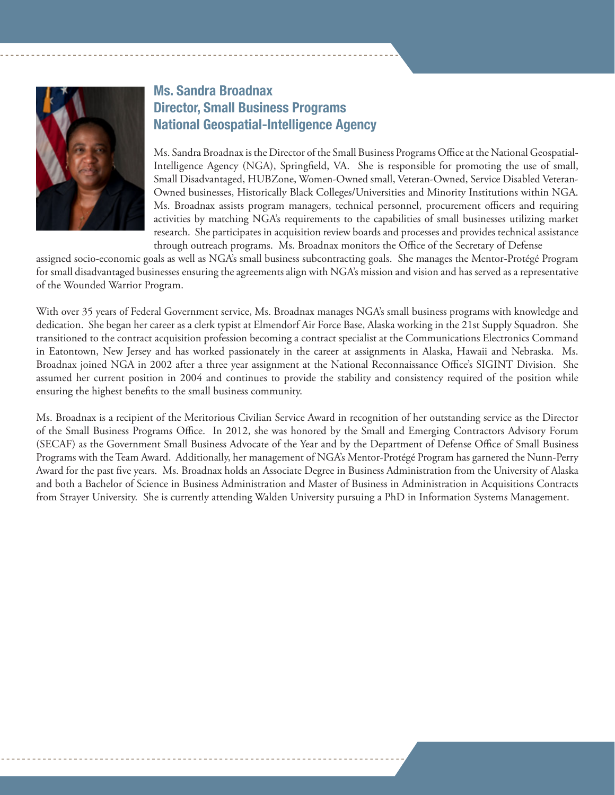

#### Ms. Sandra Broadnax Director, Small Business Programs National Geospatial-Intelligence Agency

Ms. Sandra Broadnax is the Director of the Small Business Programs Office at the National Geospatial-Intelligence Agency (NGA), Springfield, VA. She is responsible for promoting the use of small, Small Disadvantaged, HUBZone, Women-Owned small, Veteran-Owned, Service Disabled Veteran-Owned businesses, Historically Black Colleges/Universities and Minority Institutions within NGA. Ms. Broadnax assists program managers, technical personnel, procurement officers and requiring activities by matching NGA's requirements to the capabilities of small businesses utilizing market research. She participates in acquisition review boards and processes and provides technical assistance through outreach programs. Ms. Broadnax monitors the Office of the Secretary of Defense

assigned socio-economic goals as well as NGA's small business subcontracting goals. She manages the Mentor-Protégé Program for small disadvantaged businesses ensuring the agreements align with NGA's mission and vision and has served as a representative of the Wounded Warrior Program.

With over 35 years of Federal Government service, Ms. Broadnax manages NGA's small business programs with knowledge and dedication. She began her career as a clerk typist at Elmendorf Air Force Base, Alaska working in the 21st Supply Squadron. She transitioned to the contract acquisition profession becoming a contract specialist at the Communications Electronics Command in Eatontown, New Jersey and has worked passionately in the career at assignments in Alaska, Hawaii and Nebraska. Ms. Broadnax joined NGA in 2002 after a three year assignment at the National Reconnaissance Office's SIGINT Division. She assumed her current position in 2004 and continues to provide the stability and consistency required of the position while ensuring the highest benefits to the small business community.

Ms. Broadnax is a recipient of the Meritorious Civilian Service Award in recognition of her outstanding service as the Director of the Small Business Programs Office. In 2012, she was honored by the Small and Emerging Contractors Advisory Forum (SECAF) as the Government Small Business Advocate of the Year and by the Department of Defense Office of Small Business Programs with the Team Award. Additionally, her management of NGA's Mentor-Protégé Program has garnered the Nunn-Perry Award for the past five years. Ms. Broadnax holds an Associate Degree in Business Administration from the University of Alaska and both a Bachelor of Science in Business Administration and Master of Business in Administration in Acquisitions Contracts from Strayer University. She is currently attending Walden University pursuing a PhD in Information Systems Management.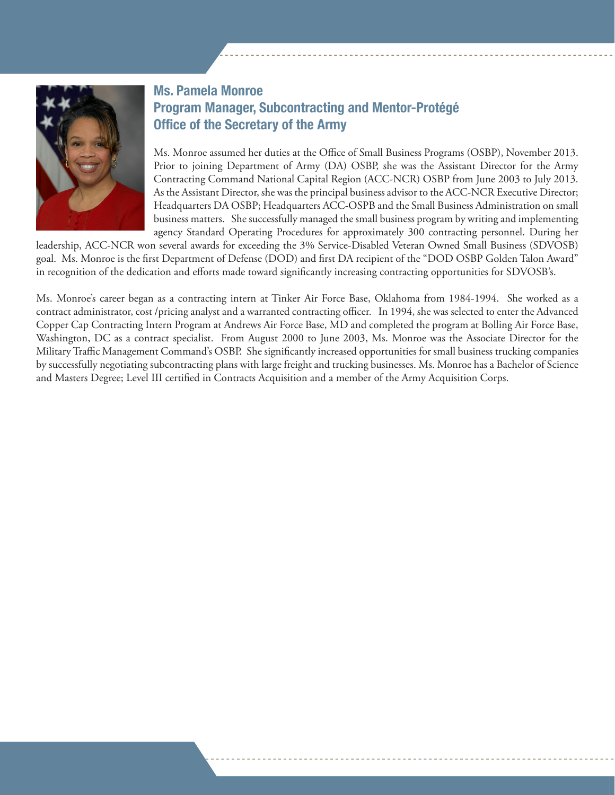

#### Ms. Pamela Monroe Program Manager, Subcontracting and Mentor-Protégé Office of the Secretary of the Army

Ms. Monroe assumed her duties at the Office of Small Business Programs (OSBP), November 2013. Prior to joining Department of Army (DA) OSBP, she was the Assistant Director for the Army Contracting Command National Capital Region (ACC-NCR) OSBP from June 2003 to July 2013. As the Assistant Director, she was the principal business advisor to the ACC-NCR Executive Director; Headquarters DA OSBP; Headquarters ACC-OSPB and the Small Business Administration on small business matters. She successfully managed the small business program by writing and implementing agency Standard Operating Procedures for approximately 300 contracting personnel. During her

leadership, ACC-NCR won several awards for exceeding the 3% Service-Disabled Veteran Owned Small Business (SDVOSB) goal. Ms. Monroe is the first Department of Defense (DOD) and first DA recipient of the "DOD OSBP Golden Talon Award" in recognition of the dedication and efforts made toward significantly increasing contracting opportunities for SDVOSB's.

Ms. Monroe's career began as a contracting intern at Tinker Air Force Base, Oklahoma from 1984-1994. She worked as a contract administrator, cost /pricing analyst and a warranted contracting officer. In 1994, she was selected to enter the Advanced Copper Cap Contracting Intern Program at Andrews Air Force Base, MD and completed the program at Bolling Air Force Base, Washington, DC as a contract specialist. From August 2000 to June 2003, Ms. Monroe was the Associate Director for the Military Traffic Management Command's OSBP. She significantly increased opportunities for small business trucking companies by successfully negotiating subcontracting plans with large freight and trucking businesses. Ms. Monroe has a Bachelor of Science and Masters Degree; Level III certified in Contracts Acquisition and a member of the Army Acquisition Corps.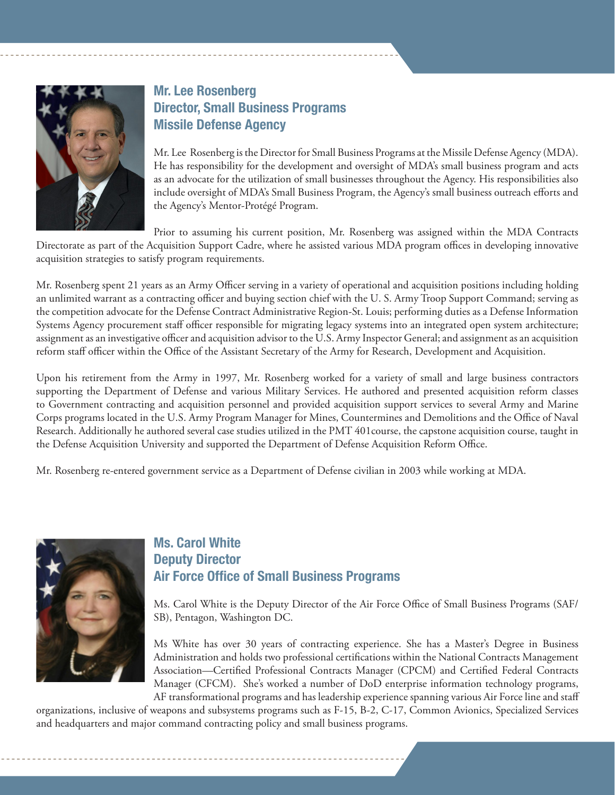

#### Mr. Lee Rosenberg Director, Small Business Programs Missile Defense Agency

Mr. Lee Rosenberg is the Director for Small Business Programs at the Missile Defense Agency (MDA). He has responsibility for the development and oversight of MDA's small business program and acts as an advocate for the utilization of small businesses throughout the Agency. His responsibilities also include oversight of MDA's Small Business Program, the Agency's small business outreach efforts and the Agency's Mentor-Protégé Program.

Prior to assuming his current position, Mr. Rosenberg was assigned within the MDA Contracts

Directorate as part of the Acquisition Support Cadre, where he assisted various MDA program offices in developing innovative acquisition strategies to satisfy program requirements.

Mr. Rosenberg spent 21 years as an Army Officer serving in a variety of operational and acquisition positions including holding an unlimited warrant as a contracting officer and buying section chief with the U. S. Army Troop Support Command; serving as the competition advocate for the Defense Contract Administrative Region-St. Louis; performing duties as a Defense Information Systems Agency procurement staff officer responsible for migrating legacy systems into an integrated open system architecture; assignment as an investigative officer and acquisition advisor to the U.S. Army Inspector General; and assignment as an acquisition reform staff officer within the Office of the Assistant Secretary of the Army for Research, Development and Acquisition.

Upon his retirement from the Army in 1997, Mr. Rosenberg worked for a variety of small and large business contractors supporting the Department of Defense and various Military Services. He authored and presented acquisition reform classes to Government contracting and acquisition personnel and provided acquisition support services to several Army and Marine Corps programs located in the U.S. Army Program Manager for Mines, Countermines and Demolitions and the Office of Naval Research. Additionally he authored several case studies utilized in the PMT 401course, the capstone acquisition course, taught in the Defense Acquisition University and supported the Department of Defense Acquisition Reform Office.

Mr. Rosenberg re-entered government service as a Department of Defense civilian in 2003 while working at MDA.



#### Ms. Carol White Deputy Director Air Force Office of Small Business Programs

Ms. Carol White is the Deputy Director of the Air Force Office of Small Business Programs (SAF/ SB), Pentagon, Washington DC.

Ms White has over 30 years of contracting experience. She has a Master's Degree in Business Administration and holds two professional certifications within the National Contracts Management Association—Certified Professional Contracts Manager (CPCM) and Certified Federal Contracts Manager (CFCM). She's worked a number of DoD enterprise information technology programs, AF transformational programs and has leadership experience spanning various Air Force line and staff

organizations, inclusive of weapons and subsystems programs such as F-15, B-2, C-17, Common Avionics, Specialized Services and headquarters and major command contracting policy and small business programs.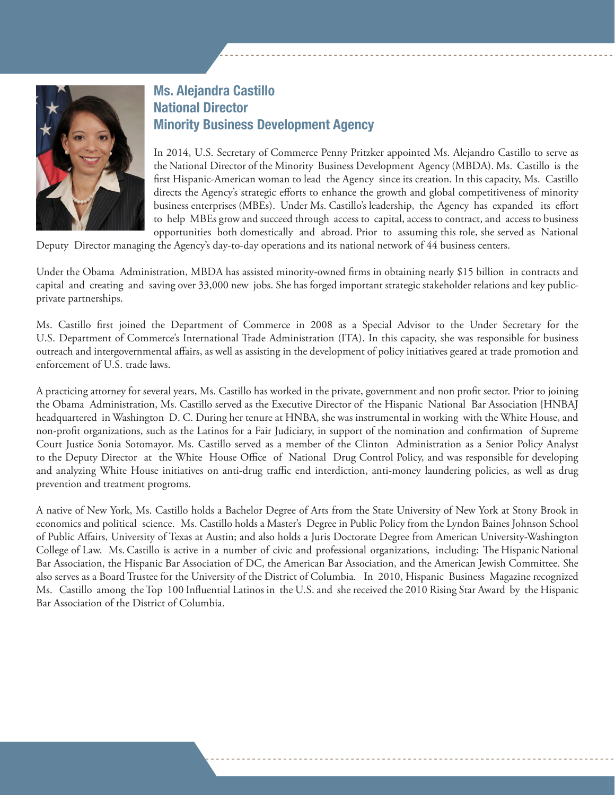

#### Ms. Alejandra Castillo National Director Minority Business Development Agency

In 2014, U.S. Secretary of Commerce Penny Pritzker appointed Ms. Alejandro Castillo to serve as the NationaI Director of the Minority Business Development Agency (MBDA). Ms. Castillo is the first Hispanic-American woman to lead the Agency since its creation. In this capacity, Ms. Castillo directs the Agency's strategic efforts to enhance the growth and global competitiveness of minority business enterprises (MBEs). Under Ms. Castillo's leadership, the Agency has expanded its effort to help MBEs grow and succeed through access to capital, access to contract, and access to business opportunities both domestically and abroad. Prior to assuming this role, she served as National

Deputy Director managing the Agency's day-to-day operations and its national network of 44 business centers.

Under the Obama Administration, MBDA has assisted minority-owned firms in obtaining nearly \$15 billion in contracts and capital and creating and saving over 33,000 new jobs. She has forged important strategic stakeholder relations and key pubIicprivate partnerships.

Ms. Castillo first joined the Department of Commerce in 2008 as a Special Advisor to the Under Secretary for the U.S. Department of Commerce's International Trade Administration (ITA). In this capacity, she was responsible for business outreach and intergovernmental affairs, as well as assisting in the development of policy initiatives geared at trade promotion and enforcement of U.S. trade laws.

A practicing attorney for several years, Ms. Castillo has worked in the private, government and non profit sector. Prior to joining the Obama Administration, Ms. Castillo served as the Executive Director of the Hispanic National Bar Association {HNBAJ headquartered in Washington D. C. During her tenure at HNBA, she was instrumental in working with the White House, and non-profit organizations, such as the Latinos for a Fair Judiciary, in support of the nomination and confirmation of Supreme Court Justice Sonia Sotomayor. Ms. Castillo served as a member of the Clinton Administration as a Senior Policy Analyst to the Deputy Director at the White House Office of National Drug Control Policy, and was responsible for developing and analyzing White House initiatives on anti-drug traffic end interdiction, anti-money laundering policies, as well as drug prevention and treatment progroms.

A native of New York, Ms. Castillo holds a Bachelor Degree of Arts from the State University of New York at Stony Brook in economics and political science. Ms. Castillo holds a Master's Degree in Public Policy from the Lyndon Baines Johnson School of Public Affairs, University of Texas at Austin; and also holds a Juris Doctorate Degree from American University-Washington College of Law. Ms. Castillo is active in a number of civic and professional organizations, including: The Hispanic National Bar Association, the Hispanic Bar Association of DC, the American Bar Association, and the American Jewish Committee. She also serves as a Board Trustee for the University of the District of Columbia. In 2010, Hispanic Business Magazine recognized Ms. Castillo among the Top 100 Influential Latinos in the U.S. and she received the 2010 Rising Star Award by the Hispanic Bar Association of the District of Columbia.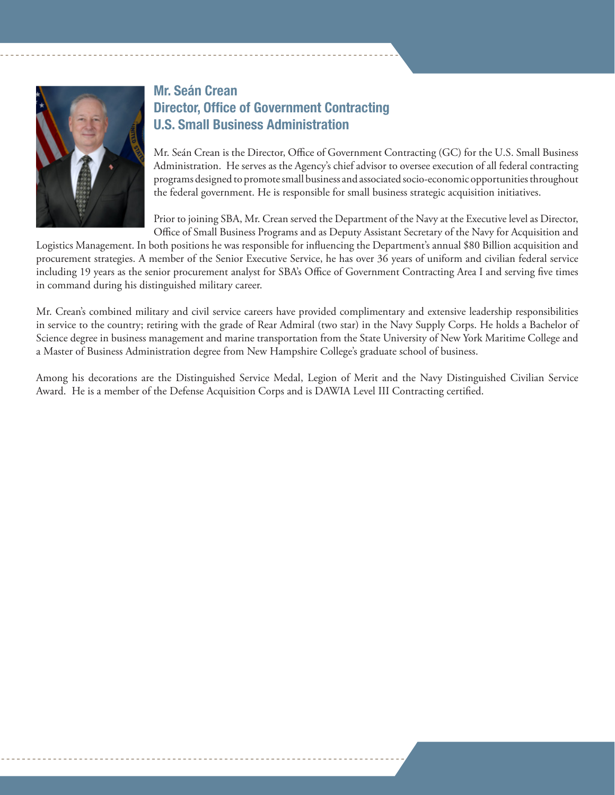

#### Mr. Seán Crean Director, Office of Government Contracting U.S. Small Business Administration

Mr. Seán Crean is the Director, Office of Government Contracting (GC) for the U.S. Small Business Administration. He serves as the Agency's chief advisor to oversee execution of all federal contracting programs designed to promote small business and associated socio-economic opportunities throughout the federal government. He is responsible for small business strategic acquisition initiatives.

Prior to joining SBA, Mr. Crean served the Department of the Navy at the Executive level as Director, Office of Small Business Programs and as Deputy Assistant Secretary of the Navy for Acquisition and

Logistics Management. In both positions he was responsible for influencing the Department's annual \$80 Billion acquisition and procurement strategies. A member of the Senior Executive Service, he has over 36 years of uniform and civilian federal service including 19 years as the senior procurement analyst for SBA's Office of Government Contracting Area I and serving five times in command during his distinguished military career.

Mr. Crean's combined military and civil service careers have provided complimentary and extensive leadership responsibilities in service to the country; retiring with the grade of Rear Admiral (two star) in the Navy Supply Corps. He holds a Bachelor of Science degree in business management and marine transportation from the State University of New York Maritime College and a Master of Business Administration degree from New Hampshire College's graduate school of business.

Among his decorations are the Distinguished Service Medal, Legion of Merit and the Navy Distinguished Civilian Service Award. He is a member of the Defense Acquisition Corps and is DAWIA Level III Contracting certified.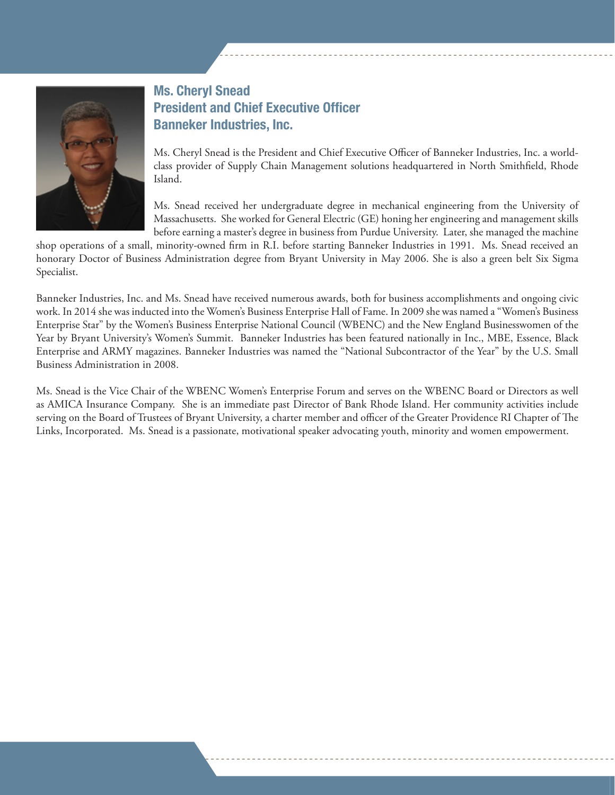

#### Ms. Cheryl Snead President and Chief Executive Officer Banneker Industries, Inc.

Ms. Cheryl Snead is the President and Chief Executive Officer of Banneker Industries, Inc. a worldclass provider of Supply Chain Management solutions headquartered in North Smithfield, Rhode Island.

Ms. Snead received her undergraduate degree in mechanical engineering from the University of Massachusetts. She worked for General Electric (GE) honing her engineering and management skills before earning a master's degree in business from Purdue University. Later, she managed the machine

shop operations of a small, minority-owned firm in R.I. before starting Banneker Industries in 1991. Ms. Snead received an honorary Doctor of Business Administration degree from Bryant University in May 2006. She is also a green belt Six Sigma Specialist.

Banneker Industries, Inc. and Ms. Snead have received numerous awards, both for business accomplishments and ongoing civic work. In 2014 she was inducted into the Women's Business Enterprise Hall of Fame. In 2009 she was named a "Women's Business Enterprise Star" by the Women's Business Enterprise National Council (WBENC) and the New England Businesswomen of the Year by Bryant University's Women's Summit. Banneker Industries has been featured nationally in Inc., MBE, Essence, Black Enterprise and ARMY magazines. Banneker Industries was named the "National Subcontractor of the Year" by the U.S. Small Business Administration in 2008.

Ms. Snead is the Vice Chair of the WBENC Women's Enterprise Forum and serves on the WBENC Board or Directors as well as AMICA Insurance Company. She is an immediate past Director of Bank Rhode Island. Her community activities include serving on the Board of Trustees of Bryant University, a charter member and officer of the Greater Providence RI Chapter of The Links, Incorporated. Ms. Snead is a passionate, motivational speaker advocating youth, minority and women empowerment.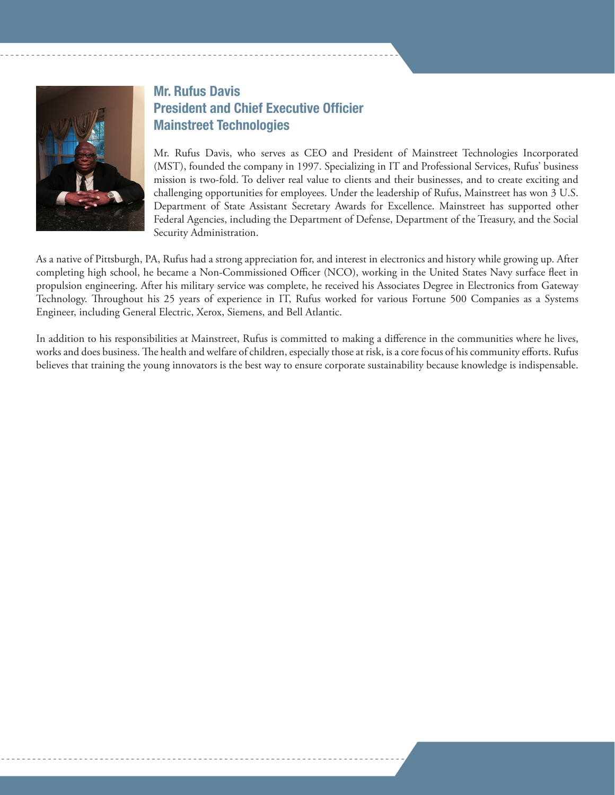

#### Mr. Rufus Davis President and Chief Executive Officier Mainstreet Technologies

Mr. Rufus Davis, who serves as CEO and President of Mainstreet Technologies Incorporated (MST), founded the company in 1997. Specializing in IT and Professional Services, Rufus' business mission is two-fold. To deliver real value to clients and their businesses, and to create exciting and challenging opportunities for employees. Under the leadership of Rufus, Mainstreet has won 3 U.S. Department of State Assistant Secretary Awards for Excellence. Mainstreet has supported other Federal Agencies, including the Department of Defense, Department of the Treasury, and the Social Security Administration.

As a native of Pittsburgh, PA, Rufus had a strong appreciation for, and interest in electronics and history while growing up. After completing high school, he became a Non-Commissioned Officer (NCO), working in the United States Navy surface fleet in propulsion engineering. After his military service was complete, he received his Associates Degree in Electronics from Gateway Technology. Throughout his 25 years of experience in IT, Rufus worked for various Fortune 500 Companies as a Systems Engineer, including General Electric, Xerox, Siemens, and Bell Atlantic.

In addition to his responsibilities at Mainstreet, Rufus is committed to making a difference in the communities where he lives, works and does business. The health and welfare of children, especially those at risk, is a core focus of his community efforts. Rufus believes that training the young innovators is the best way to ensure corporate sustainability because knowledge is indispensable.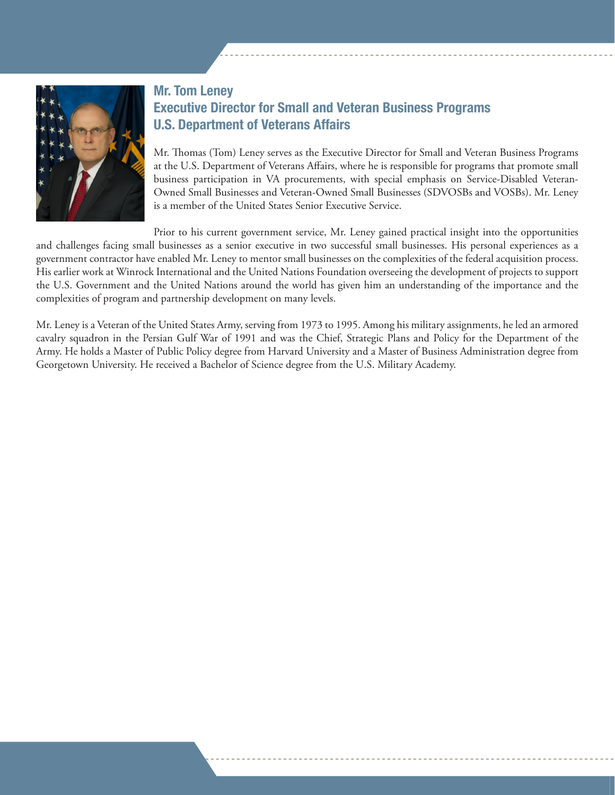

#### Mr. Tom Leney Executive Director for Small and Veteran Business Programs U.S. Department of Veterans Affairs

Mr. Thomas (Tom) Leney serves as the Executive Director for Small and Veteran Business Programs at the U.S. Department of Veterans Affairs, where he is responsible for programs that promote small business participation in VA procurements, with special emphasis on Service-Disabled Veteran-Owned Small Businesses and Veteran-Owned Small Businesses (SDVOSBs and VOSBs). Mr. Leney is a member of the United States Senior Executive Service.

Prior to his current government service, Mr. Leney gained practical insight into the opportunities and challenges facing small businesses as a senior executive in two successful small businesses. His personal experiences as a government contractor have enabled Mr. Leney to mentor small businesses on the complexities of the federal acquisition process. His earlier work at Winrock International and the United Nations Foundation overseeing the development of projects to support the U.S. Government and the United Nations around the world has given him an understanding of the importance and the complexities of program and partnership development on many levels.

Mr. Leney is a Veteran of the United States Army, serving from 1973 to 1995. Among his military assignments, he led an armored cavalry squadron in the Persian Gulf War of 1991 and was the Chief, Strategic Plans and Policy for the Department of the Army. He holds a Master of Public Policy degree from Harvard University and a Master of Business Administration degree from Georgetown University. He received a Bachelor of Science degree from the U.S. Military Academy.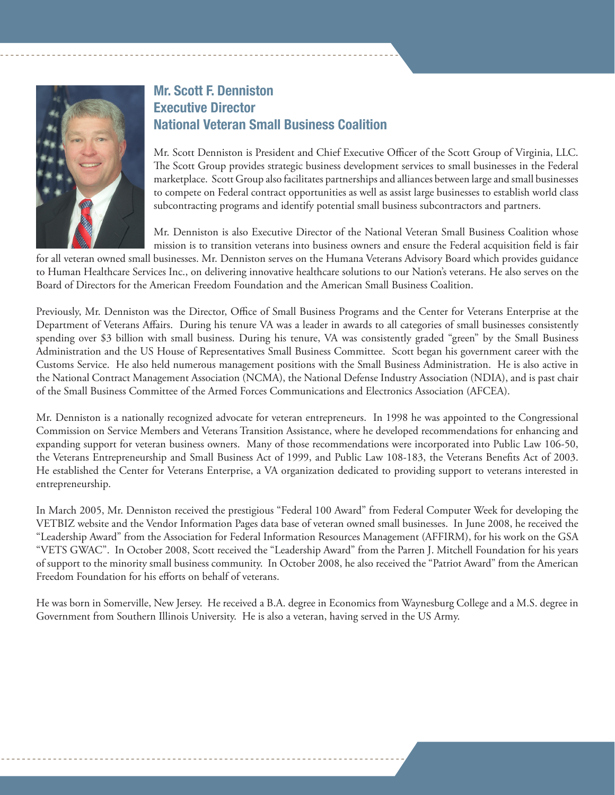

#### Mr. Scott F. Denniston Executive Director National Veteran Small Business Coalition

Mr. Scott Denniston is President and Chief Executive Officer of the Scott Group of Virginia, LLC. The Scott Group provides strategic business development services to small businesses in the Federal marketplace. Scott Group also facilitates partnerships and alliances between large and small businesses to compete on Federal contract opportunities as well as assist large businesses to establish world class subcontracting programs and identify potential small business subcontractors and partners.

Mr. Denniston is also Executive Director of the National Veteran Small Business Coalition whose mission is to transition veterans into business owners and ensure the Federal acquisition field is fair

for all veteran owned small businesses. Mr. Denniston serves on the Humana Veterans Advisory Board which provides guidance to Human Healthcare Services Inc., on delivering innovative healthcare solutions to our Nation's veterans. He also serves on the Board of Directors for the American Freedom Foundation and the American Small Business Coalition.

Previously, Mr. Denniston was the Director, Office of Small Business Programs and the Center for Veterans Enterprise at the Department of Veterans Affairs. During his tenure VA was a leader in awards to all categories of small businesses consistently spending over \$3 billion with small business. During his tenure, VA was consistently graded "green" by the Small Business Administration and the US House of Representatives Small Business Committee. Scott began his government career with the Customs Service. He also held numerous management positions with the Small Business Administration. He is also active in the National Contract Management Association (NCMA), the National Defense Industry Association (NDIA), and is past chair of the Small Business Committee of the Armed Forces Communications and Electronics Association (AFCEA).

Mr. Denniston is a nationally recognized advocate for veteran entrepreneurs. In 1998 he was appointed to the Congressional Commission on Service Members and Veterans Transition Assistance, where he developed recommendations for enhancing and expanding support for veteran business owners. Many of those recommendations were incorporated into Public Law 106-50, the Veterans Entrepreneurship and Small Business Act of 1999, and Public Law 108-183, the Veterans Benefits Act of 2003. He established the Center for Veterans Enterprise, a VA organization dedicated to providing support to veterans interested in entrepreneurship.

In March 2005, Mr. Denniston received the prestigious "Federal 100 Award" from Federal Computer Week for developing the VETBIZ website and the Vendor Information Pages data base of veteran owned small businesses. In June 2008, he received the "Leadership Award" from the Association for Federal Information Resources Management (AFFIRM), for his work on the GSA "VETS GWAC". In October 2008, Scott received the "Leadership Award" from the Parren J. Mitchell Foundation for his years of support to the minority small business community. In October 2008, he also received the "Patriot Award" from the American Freedom Foundation for his efforts on behalf of veterans.

He was born in Somerville, New Jersey. He received a B.A. degree in Economics from Waynesburg College and a M.S. degree in Government from Southern Illinois University. He is also a veteran, having served in the US Army.